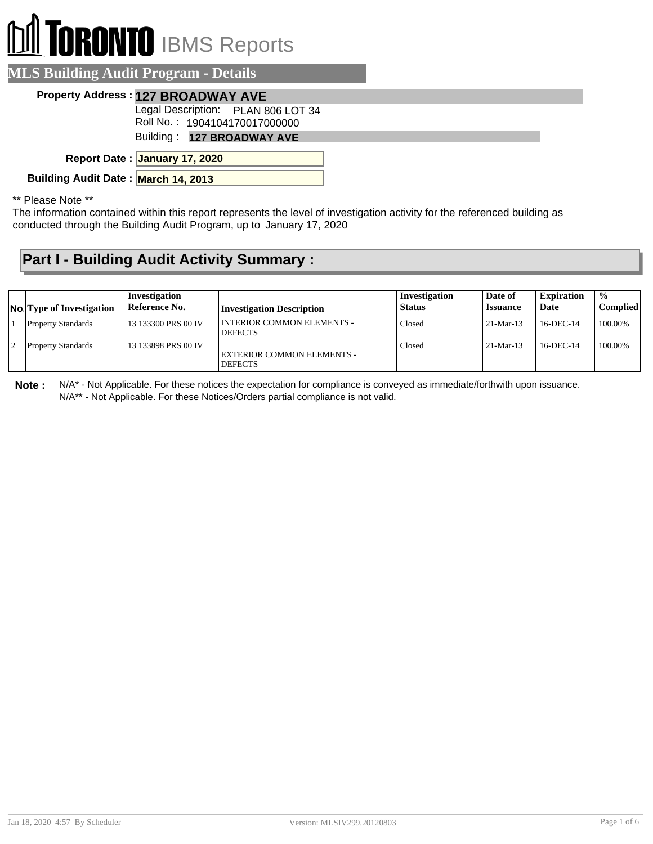## **I TORONTO** IBMS Reports ⋔

| <b>MLS Building Audit Program - Details</b>                         |  |
|---------------------------------------------------------------------|--|
| Property Address: 127 BROADWAY AVE                                  |  |
| Legal Description: PLAN 806 LOT 34<br>Roll No.: 1904104170017000000 |  |
| Building: 127 BROADWAY AVE                                          |  |
| Report Date: January 17, 2020                                       |  |
| Building Audit Date: March 14, 2013                                 |  |
|                                                                     |  |

\*\* Please Note \*\*

The information contained within this report represents the level of investigation activity for the referenced building as conducted through the Building Audit Program, up to January 17, 2020

## **Part I - Building Audit Activity Summary :**

| <b>No.</b> Type of Investigation | Investigation<br>Reference No. | <b>Investigation Description</b>                    | Investigation<br><b>Status</b> | Date of<br><b>Issuance</b> | <b>Expiration</b><br>Date | $\frac{1}{2}$<br>Complied |
|----------------------------------|--------------------------------|-----------------------------------------------------|--------------------------------|----------------------------|---------------------------|---------------------------|
| <b>Property Standards</b>        | 13 133300 PRS 00 IV            | <b>INTERIOR COMMON ELEMENTS -</b><br><b>DEFECTS</b> | Closed                         | $21-Mar-13$                | 16-DEC-14                 | 100.00%                   |
| Property Standards               | 13 133898 PRS 00 IV            | EXTERIOR COMMON ELEMENTS -<br><b>DEFECTS</b>        | Closed                         | $21-Mar-13$                | 16-DEC-14                 | 100.00%                   |

**Note :** N/A\* - Not Applicable. For these notices the expectation for compliance is conveyed as immediate/forthwith upon issuance. N/A\*\* - Not Applicable. For these Notices/Orders partial compliance is not valid.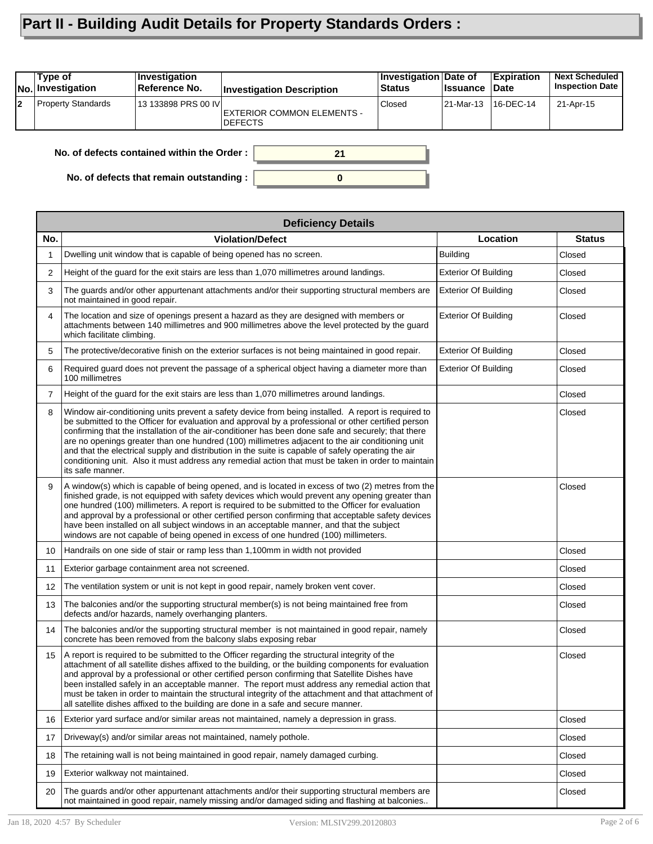## **Part II - Building Audit Details for Property Standards Orders :**

|    | Type of<br>No. Investigation                     | Investigation<br>Reference No. | <b>Investigation Description</b>             | Investigation Date of<br><b>Status</b> | <b>Issuance Date</b> | <b>Expiration</b> | <b>Next Scheduled</b><br><b>Inspection Date</b> |  |
|----|--------------------------------------------------|--------------------------------|----------------------------------------------|----------------------------------------|----------------------|-------------------|-------------------------------------------------|--|
| l2 | <b>Property Standards</b>                        | 13 133898 PRS 00 IVI           | EXTERIOR COMMON ELEMENTS -<br><b>DEFECTS</b> | Closed                                 | 21-Mar-13            | 16-DEC-14         | 21-Apr-15                                       |  |
|    | No. of defects contained within the Order:<br>21 |                                |                                              |                                        |                      |                   |                                                 |  |

**0**

**No. of defects that remain outstanding :**

|     | <b>Deficiency Details</b>                                                                                                                                                                                                                                                                                                                                                                                                                                                                                                                                                                                                                               |                             |               |  |  |  |  |  |  |
|-----|---------------------------------------------------------------------------------------------------------------------------------------------------------------------------------------------------------------------------------------------------------------------------------------------------------------------------------------------------------------------------------------------------------------------------------------------------------------------------------------------------------------------------------------------------------------------------------------------------------------------------------------------------------|-----------------------------|---------------|--|--|--|--|--|--|
| No. | <b>Violation/Defect</b>                                                                                                                                                                                                                                                                                                                                                                                                                                                                                                                                                                                                                                 | Location                    | <b>Status</b> |  |  |  |  |  |  |
| 1   | Dwelling unit window that is capable of being opened has no screen.                                                                                                                                                                                                                                                                                                                                                                                                                                                                                                                                                                                     | <b>Building</b>             | Closed        |  |  |  |  |  |  |
| 2   | Height of the guard for the exit stairs are less than 1,070 millimetres around landings.                                                                                                                                                                                                                                                                                                                                                                                                                                                                                                                                                                | <b>Exterior Of Building</b> | Closed        |  |  |  |  |  |  |
| 3   | The guards and/or other appurtenant attachments and/or their supporting structural members are<br>not maintained in good repair.                                                                                                                                                                                                                                                                                                                                                                                                                                                                                                                        | <b>Exterior Of Building</b> | Closed        |  |  |  |  |  |  |
| 4   | The location and size of openings present a hazard as they are designed with members or<br>attachments between 140 millimetres and 900 millimetres above the level protected by the guard<br>which facilitate climbing.                                                                                                                                                                                                                                                                                                                                                                                                                                 | <b>Exterior Of Building</b> | Closed        |  |  |  |  |  |  |
| 5   | The protective/decorative finish on the exterior surfaces is not being maintained in good repair.                                                                                                                                                                                                                                                                                                                                                                                                                                                                                                                                                       | <b>Exterior Of Building</b> | Closed        |  |  |  |  |  |  |
| 6   | Required guard does not prevent the passage of a spherical object having a diameter more than<br>100 millimetres                                                                                                                                                                                                                                                                                                                                                                                                                                                                                                                                        | <b>Exterior Of Building</b> | Closed        |  |  |  |  |  |  |
| 7   | Height of the guard for the exit stairs are less than 1,070 millimetres around landings.                                                                                                                                                                                                                                                                                                                                                                                                                                                                                                                                                                |                             | Closed        |  |  |  |  |  |  |
| 8   | Window air-conditioning units prevent a safety device from being installed. A report is required to<br>be submitted to the Officer for evaluation and approval by a professional or other certified person<br>confirming that the installation of the air-conditioner has been done safe and securely; that there<br>are no openings greater than one hundred (100) millimetres adjacent to the air conditioning unit<br>and that the electrical supply and distribution in the suite is capable of safely operating the air<br>conditioning unit. Also it must address any remedial action that must be taken in order to maintain<br>its safe manner. |                             | Closed        |  |  |  |  |  |  |
| 9   | A window(s) which is capable of being opened, and is located in excess of two (2) metres from the<br>finished grade, is not equipped with safety devices which would prevent any opening greater than<br>one hundred (100) millimeters. A report is required to be submitted to the Officer for evaluation<br>and approval by a professional or other certified person confirming that acceptable safety devices<br>have been installed on all subject windows in an acceptable manner, and that the subject<br>windows are not capable of being opened in excess of one hundred (100) millimeters.                                                     |                             | Closed        |  |  |  |  |  |  |
| 10  | Handrails on one side of stair or ramp less than 1,100mm in width not provided                                                                                                                                                                                                                                                                                                                                                                                                                                                                                                                                                                          |                             | Closed        |  |  |  |  |  |  |
| 11  | Exterior garbage containment area not screened.                                                                                                                                                                                                                                                                                                                                                                                                                                                                                                                                                                                                         |                             | Closed        |  |  |  |  |  |  |
| 12  | The ventilation system or unit is not kept in good repair, namely broken vent cover.                                                                                                                                                                                                                                                                                                                                                                                                                                                                                                                                                                    |                             | Closed        |  |  |  |  |  |  |
| 13  | The balconies and/or the supporting structural member(s) is not being maintained free from<br>defects and/or hazards, namely overhanging planters.                                                                                                                                                                                                                                                                                                                                                                                                                                                                                                      |                             | Closed        |  |  |  |  |  |  |
| 14  | The balconies and/or the supporting structural member is not maintained in good repair, namely<br>concrete has been removed from the balcony slabs exposing rebar                                                                                                                                                                                                                                                                                                                                                                                                                                                                                       |                             | Closed        |  |  |  |  |  |  |
| 15  | A report is required to be submitted to the Officer regarding the structural integrity of the<br>attachment of all satellite dishes affixed to the building, or the building components for evaluation<br>and approval by a professional or other certified person confirming that Satellite Dishes have<br>been installed safely in an acceptable manner. The report must address any remedial action that<br>must be taken in order to maintain the structural integrity of the attachment and that attachment of<br>all satellite dishes affixed to the building are done in a safe and secure manner.                                               |                             | Closed        |  |  |  |  |  |  |
| 16  | Exterior yard surface and/or similar areas not maintained, namely a depression in grass.                                                                                                                                                                                                                                                                                                                                                                                                                                                                                                                                                                |                             | Closed        |  |  |  |  |  |  |
| 17  | Driveway(s) and/or similar areas not maintained, namely pothole.                                                                                                                                                                                                                                                                                                                                                                                                                                                                                                                                                                                        |                             | Closed        |  |  |  |  |  |  |
| 18  | The retaining wall is not being maintained in good repair, namely damaged curbing.                                                                                                                                                                                                                                                                                                                                                                                                                                                                                                                                                                      |                             | Closed        |  |  |  |  |  |  |
| 19  | Exterior walkway not maintained.                                                                                                                                                                                                                                                                                                                                                                                                                                                                                                                                                                                                                        |                             | Closed        |  |  |  |  |  |  |
| 20  | The quards and/or other appurtenant attachments and/or their supporting structural members are<br>not maintained in good repair, namely missing and/or damaged siding and flashing at balconies                                                                                                                                                                                                                                                                                                                                                                                                                                                         |                             | Closed        |  |  |  |  |  |  |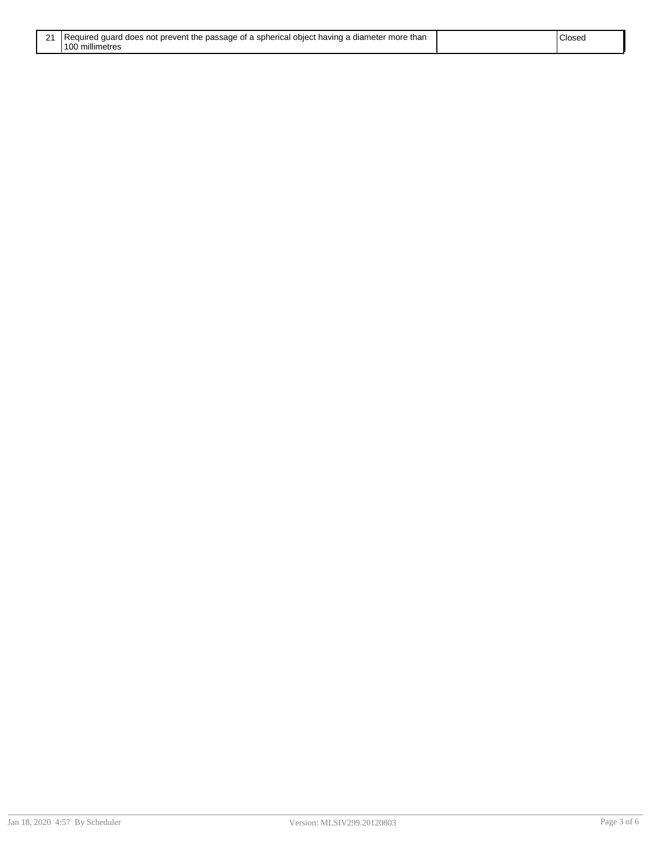| 21 Required guard does not prevent the passage of a spherical object having a diameter more than | Closec |
|--------------------------------------------------------------------------------------------------|--------|
| 100 millimetres                                                                                  |        |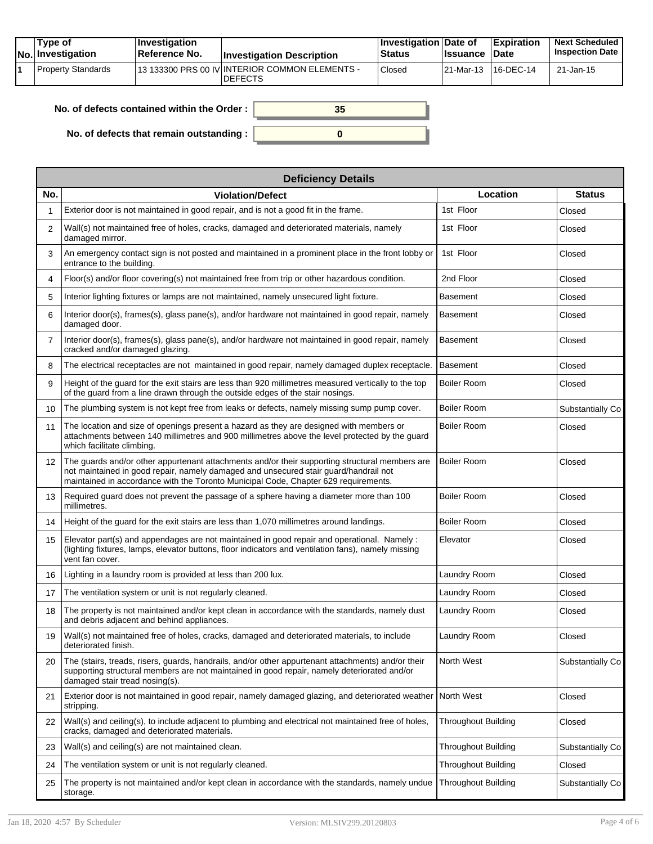| Tvpe of<br>No. Investigation | $\blacksquare$ Investigation<br>Reference No. | <b>Investigation Description</b>                                 | <b>Investigation Date of</b><br><b>Status</b> | <b>Issuance</b>     | <b>Expiration</b><br><b>Date</b> | <b>Next Scheduled</b><br><b>Inspection Date</b> |
|------------------------------|-----------------------------------------------|------------------------------------------------------------------|-----------------------------------------------|---------------------|----------------------------------|-------------------------------------------------|
| Property Standards           |                                               | 13 133300 PRS 00 IV INTERIOR COMMON ELEMENTS -<br><b>DEFECTS</b> | <sup>'</sup> Closed                           | 21-Mar-13 16-DEC-14 |                                  | 21-Jan-15                                       |

| No. of defects contained within the Order : $\mid$ | 35 |
|----------------------------------------------------|----|
|                                                    |    |
| No. of defects that remain outstanding : $\vert$   |    |

|                   | <b>Deficiency Details</b>                                                                                                                                                                                                                                                     |                            |                  |  |  |  |  |
|-------------------|-------------------------------------------------------------------------------------------------------------------------------------------------------------------------------------------------------------------------------------------------------------------------------|----------------------------|------------------|--|--|--|--|
| No.               | <b>Violation/Defect</b>                                                                                                                                                                                                                                                       | Location                   | <b>Status</b>    |  |  |  |  |
| 1                 | Exterior door is not maintained in good repair, and is not a good fit in the frame.                                                                                                                                                                                           | 1st Floor                  | Closed           |  |  |  |  |
| 2                 | Wall(s) not maintained free of holes, cracks, damaged and deteriorated materials, namely<br>damaged mirror.                                                                                                                                                                   | 1st Floor                  | Closed           |  |  |  |  |
| 3                 | An emergency contact sign is not posted and maintained in a prominent place in the front lobby or<br>entrance to the building.                                                                                                                                                | 1st Floor                  | Closed           |  |  |  |  |
| 4                 | Floor(s) and/or floor covering(s) not maintained free from trip or other hazardous condition.                                                                                                                                                                                 | 2nd Floor                  | Closed           |  |  |  |  |
| 5                 | Interior lighting fixtures or lamps are not maintained, namely unsecured light fixture.                                                                                                                                                                                       | <b>Basement</b>            | Closed           |  |  |  |  |
| 6                 | Interior door(s), frames(s), glass pane(s), and/or hardware not maintained in good repair, namely<br>damaged door.                                                                                                                                                            | <b>Basement</b>            | Closed           |  |  |  |  |
| $\overline{7}$    | Interior door(s), frames(s), glass pane(s), and/or hardware not maintained in good repair, namely<br>cracked and/or damaged glazing.                                                                                                                                          | <b>Basement</b>            | Closed           |  |  |  |  |
| 8                 | The electrical receptacles are not maintained in good repair, namely damaged duplex receptacle.                                                                                                                                                                               | Basement                   | Closed           |  |  |  |  |
| 9                 | Height of the guard for the exit stairs are less than 920 millimetres measured vertically to the top<br>of the quard from a line drawn through the outside edges of the stair nosings.                                                                                        | <b>Boiler Room</b>         | Closed           |  |  |  |  |
| 10                | The plumbing system is not kept free from leaks or defects, namely missing sump pump cover.                                                                                                                                                                                   | Boiler Room                | Substantially Co |  |  |  |  |
| 11                | The location and size of openings present a hazard as they are designed with members or<br>attachments between 140 millimetres and 900 millimetres above the level protected by the guard<br>which facilitate climbing.                                                       | <b>Boiler Room</b>         | Closed           |  |  |  |  |
| $12 \overline{ }$ | The quards and/or other appurtenant attachments and/or their supporting structural members are<br>not maintained in good repair, namely damaged and unsecured stair guard/handrail not<br>maintained in accordance with the Toronto Municipal Code, Chapter 629 requirements. | Boiler Room                | Closed           |  |  |  |  |
| 13                | Required guard does not prevent the passage of a sphere having a diameter more than 100<br>millimetres.                                                                                                                                                                       | <b>Boiler Room</b>         | Closed           |  |  |  |  |
| 14                | Height of the guard for the exit stairs are less than 1,070 millimetres around landings.                                                                                                                                                                                      | <b>Boiler Room</b>         | Closed           |  |  |  |  |
| 15                | Elevator part(s) and appendages are not maintained in good repair and operational. Namely :<br>(lighting fixtures, lamps, elevator buttons, floor indicators and ventilation fans), namely missing<br>vent fan cover.                                                         | Elevator                   | Closed           |  |  |  |  |
| 16                | Lighting in a laundry room is provided at less than 200 lux.                                                                                                                                                                                                                  | Laundry Room               | Closed           |  |  |  |  |
| 17                | The ventilation system or unit is not regularly cleaned.                                                                                                                                                                                                                      | Laundry Room               | Closed           |  |  |  |  |
| 18                | The property is not maintained and/or kept clean in accordance with the standards, namely dust<br>and debris adjacent and behind appliances.                                                                                                                                  | Laundry Room               | Closed           |  |  |  |  |
| 19                | Wall(s) not maintained free of holes, cracks, damaged and deteriorated materials, to include<br>deteriorated finish.                                                                                                                                                          | Laundry Room               | Closed           |  |  |  |  |
| 20                | The (stairs, treads, risers, guards, handrails, and/or other appurtenant attachments) and/or their<br>supporting structural members are not maintained in good repair, namely deteriorated and/or<br>damaged stair tread nosing(s).                                           | North West                 | Substantially Co |  |  |  |  |
| 21                | Exterior door is not maintained in good repair, namely damaged glazing, and deteriorated weather<br>stripping.                                                                                                                                                                | North West                 | Closed           |  |  |  |  |
| 22                | Wall(s) and ceiling(s), to include adjacent to plumbing and electrical not maintained free of holes,<br>cracks, damaged and deteriorated materials.                                                                                                                           | <b>Throughout Building</b> | Closed           |  |  |  |  |
| 23                | Wall(s) and ceiling(s) are not maintained clean.                                                                                                                                                                                                                              | Throughout Building        | Substantially Co |  |  |  |  |
| 24                | The ventilation system or unit is not regularly cleaned.                                                                                                                                                                                                                      | Throughout Building        | Closed           |  |  |  |  |
| 25                | The property is not maintained and/or kept clean in accordance with the standards, namely undue<br>storage.                                                                                                                                                                   | <b>Throughout Building</b> | Substantially Co |  |  |  |  |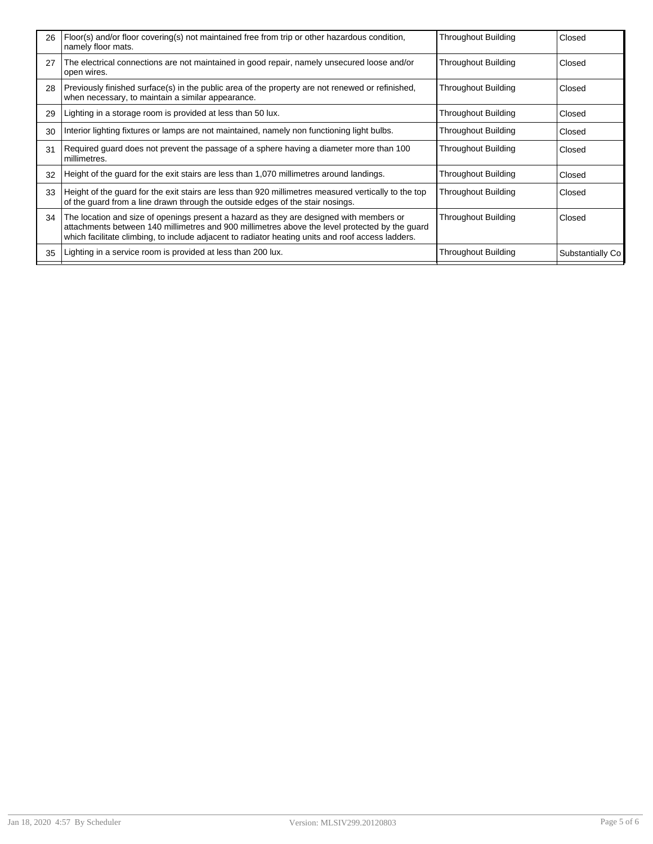| 26 | Floor(s) and/or floor covering(s) not maintained free from trip or other hazardous condition,<br>namely floor mats.                                                                                                                                                                            | <b>Throughout Building</b> | Closed           |
|----|------------------------------------------------------------------------------------------------------------------------------------------------------------------------------------------------------------------------------------------------------------------------------------------------|----------------------------|------------------|
| 27 | The electrical connections are not maintained in good repair, namely unsecured loose and/or<br>open wires.                                                                                                                                                                                     | <b>Throughout Building</b> | Closed           |
| 28 | Previously finished surface(s) in the public area of the property are not renewed or refinished,<br>when necessary, to maintain a similar appearance.                                                                                                                                          | Throughout Building        | Closed           |
| 29 | Lighting in a storage room is provided at less than 50 lux.                                                                                                                                                                                                                                    | Throughout Building        | Closed           |
| 30 | Interior lighting fixtures or lamps are not maintained, namely non functioning light bulbs.                                                                                                                                                                                                    | <b>Throughout Building</b> | Closed           |
| 31 | Required guard does not prevent the passage of a sphere having a diameter more than 100<br>millimetres.                                                                                                                                                                                        | Throughout Building        | Closed           |
| 32 | Height of the guard for the exit stairs are less than 1,070 millimetres around landings.                                                                                                                                                                                                       | Throughout Building        | Closed           |
| 33 | Height of the guard for the exit stairs are less than 920 millimetres measured vertically to the top<br>of the guard from a line drawn through the outside edges of the stair nosings.                                                                                                         | Throughout Building        | Closed           |
| 34 | The location and size of openings present a hazard as they are designed with members or<br>attachments between 140 millimetres and 900 millimetres above the level protected by the guard<br>which facilitate climbing, to include adjacent to radiator heating units and roof access ladders. | Throughout Building        | Closed           |
| 35 | Lighting in a service room is provided at less than 200 lux.                                                                                                                                                                                                                                   | Throughout Building        | Substantially Co |
|    |                                                                                                                                                                                                                                                                                                |                            |                  |